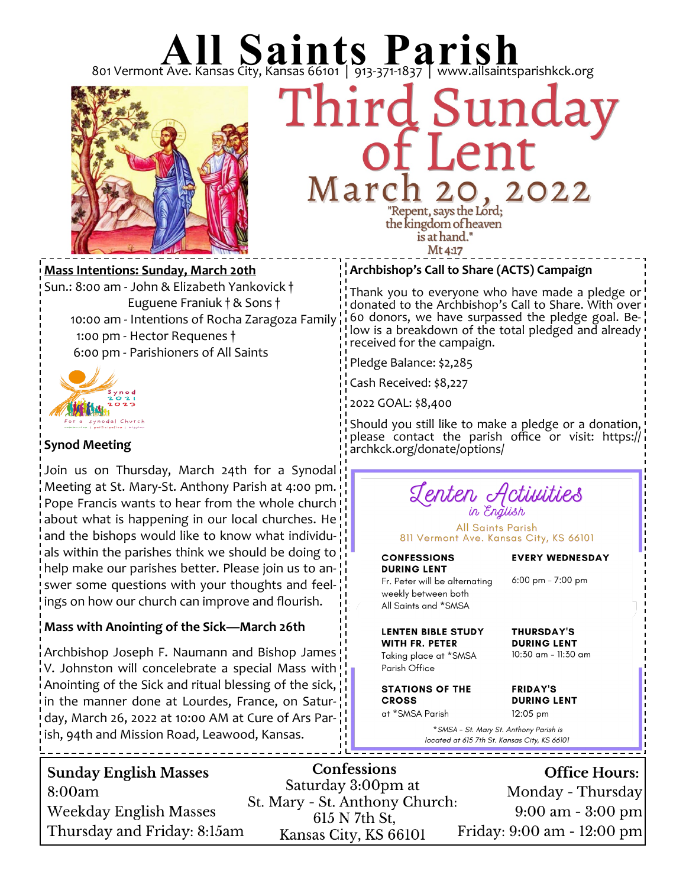

# 801 Vermont Ave. Kansas City, Kansas 66101 | 913-371-1837 | www.allsaintsparishkck.org<br>Third Sunday March  $, 2022$ "Repent, says the Lord; the kingdom of heaven

is at hand." Mt 4:17

**Mass Intentions: Sunday, March 20th** Sun.: 8:00 am - John & Elizabeth Yankovick † Euguene Franiuk † & Sons † 10:00 am - Intentions of Rocha Zaragoza Family 1:00 pm - Hector Requenes † 6:00 pm - Parishioners of All Saints



### **Synod Meeting**

Join us on Thursday, March 24th for a Synodal Meeting at St. Mary-St. Anthony Parish at 4:00 pm. Pope Francis wants to hear from the whole church about what is happening in our local churches. He and the bishops would like to know what individuals within the parishes think we should be doing to help make our parishes better. Please join us to answer some questions with your thoughts and feelings on how our church can improve and flourish.

### **Mass with Anointing of the Sick—March 26th**

Archbishop Joseph F. Naumann and Bishop James V. Johnston will concelebrate a special Mass with Anointing of the Sick and ritual blessing of the sick, in the manner done at Lourdes, France, on Saturday, March 26, 2022 at 10:00 AM at Cure of Ars Parish, 94th and Mission Road, Leawood, Kansas.

#### **Archbishop's Call to Share (ACTS) Campaign**

Thank you to everyone who have made a pledge or donated to the Archbishop's Call to Share. With over 60 donors, we have surpassed the pledge goal. Below is a breakdown of the total pledged and already! received for the campaign.

Pledge Balance: \$2,285

Cash Received: \$8,227

2022 GOAL: \$8,400

Should you still like to make a pledge or a donation, please contact the parish office or visit: https:// archkck.org/donate/options/

# Lenten Activities<br>in English

**All Saints Parish** 811 Vermont Ave. Kansas City, KS 66101

# **CONFESSIONS**

**EVERY WEDNESDAY** 

**DURING LENT** Fr. Peter will be alternating weekly between both All Saints and \*SMSA

**LENTEN BIBLE STUDY** 

Taking place at \*SMSA

**WITH FR. PETER** 

6:00 pm - 7:00 pm

**THURSDAY'S DURING LENT** 10:30 am - 11:30 am

Parish Office **STATIONS OF THE CROSS** 

at \*SMSA Parish

**FRIDAY'S DURING LENT** 12:05 pm

\* SMSA - St. Mary St. Anthony Parish is located at 615 7th St. Kansas City, KS 66101

| 8:00am                      | Saturday 3:00pm at<br>St. Mary - St. Anthony Church: | Monday - Thursday                   |
|-----------------------------|------------------------------------------------------|-------------------------------------|
| Weekday English Masses      | 615 N 7th St.                                        | $9:00 \text{ am} - 3:00 \text{ pm}$ |
| Thursday and Friday: 8:15am | Kansas City, KS 66101                                | Friday: 9:00 am - 12:00 pm          |